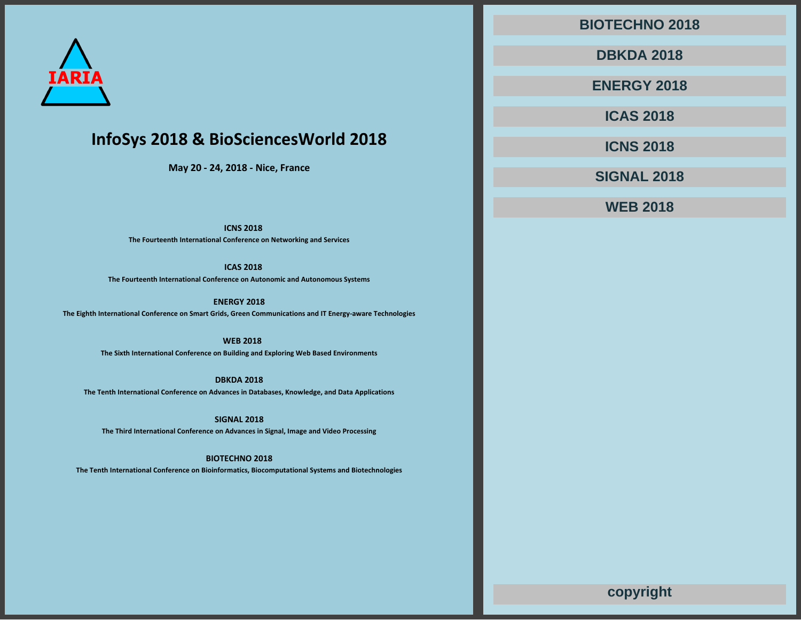

# **InfoSys 2018 & BioSciencesWorld 2018**

**May 20 - 24, 2018 - Nice, France**

**ICNS 2018**

**The Fourteenth International Conference on Networking and Services**

**ICAS 2018**

**The Fourteenth International Conference on Autonomic and Autonomous Systems**

**ENERGY 2018 The Eighth International Conference on Smart Grids, Green Communications and IT Energy-aware Technologies**

> **WEB 2018 The Sixth International Conference on Building and Exploring Web Based Environments**

**DBKDA 2018 The Tenth International Conference on Advances in Databases, Knowledge, and Data Applications**

**SIGNAL 2018 The Third International Conference on Advances in Signal, Image and Video Processing**

**BIOTECHNO 2018**

**The Tenth International Conference on Bioinformatics, Biocomputational Systems and Biotechnologies**

**BIOTECHNO 2018**

**DBKDA 2018**

**ENERGY 2018**

**ICAS 2018**

**ICNS 2018**

**SIGNAL 2018**

**WEB 2018**

**copyright**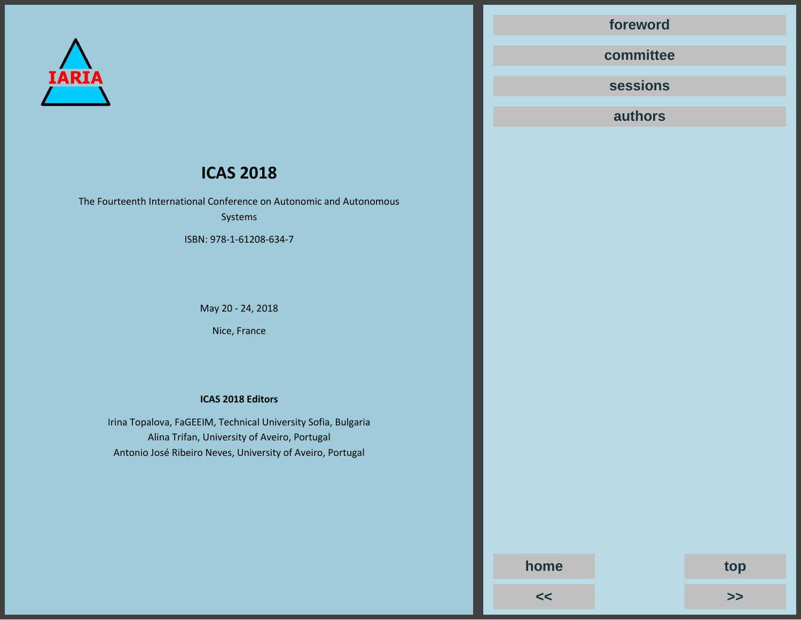

# **ICAS 2018**

The Fourteenth International Conference on Autonomic and Autonomous Systems

ISBN: 978-1-61208-634-7

May 20 - 24, 2018

Nice, France

# **ICAS 2018 Editors**

Irina Topalova, FaGEEIM, Technical University Sofia, Bulgaria Alina Trifan, University of Aveiro, Portugal Antonio José Ribeiro Neves, University of Aveiro, Portugal

**[foreword](#page--1-0)**

**[committee](#page--1-0)**

**[sessions](#page--1-0)**

**[authors](#page--1-0)**

**<< [>>](#page--1-0) home top**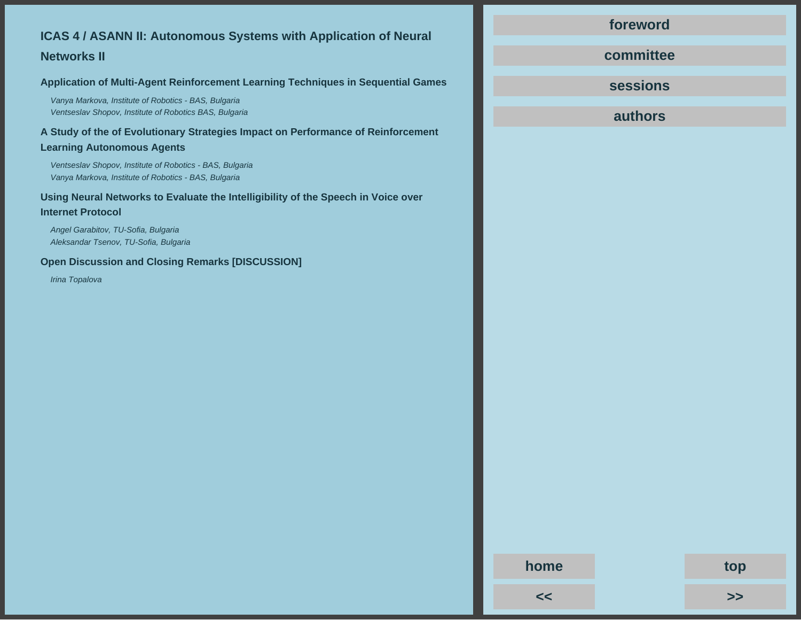# **ICAS 4 / ASANN II: Autonomous Systems with Application of Neural**

# **Networks II**

# **Application of Multi-Agent Reinforcement Learning Techniques in Sequential Games**

Vanya Markova, Institute of Robotics - BAS, Bulgaria Ventseslav Shopov, Institute of Robotics BAS, Bulgaria

**A Study of the of Evolutionary Strategies Impact on Performance of Reinforcement Learning Autonomous Agents**

Ventseslav Shopov, Institute of Robotics - BAS, Bulgaria Vanya Markova, Institute of Robotics - BAS, Bulgaria

**Using Neural Networks to Evaluate the Intelligibility of the Speech in Voice over Internet Protocol**

Angel Garabitov, TU-Sofia, Bulgaria Aleksandar Tsenov, TU-Sofia, Bulgaria

**Open Discussion and Closing Remarks [DISCUSSION]**

Irina Topalova

# **[foreword](#page--1-0)**

**[committee](#page--1-0)**

**[sessions](#page--1-0)**

**[authors](#page--1-0)**

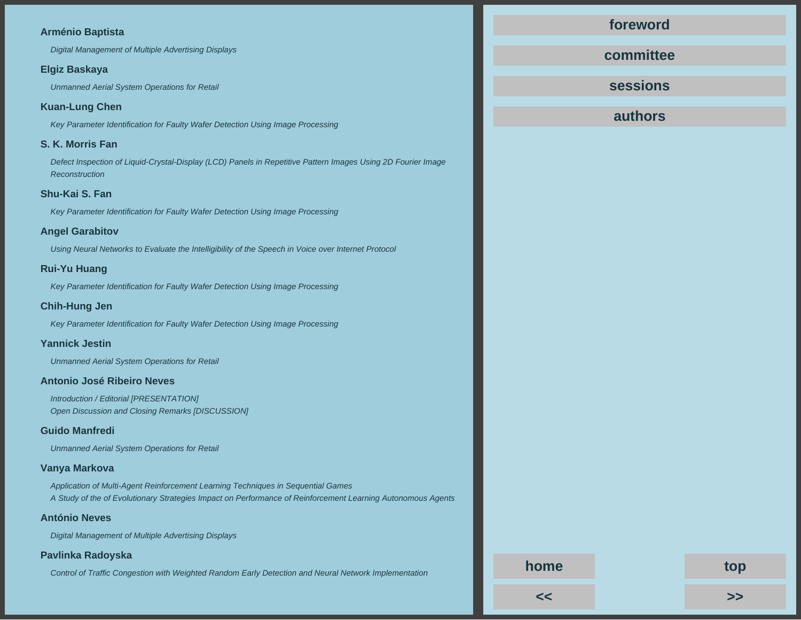# **Arménio Baptista**

Digital Management of Multiple Advertising Displays

#### **Elgiz Baskaya**

Unmanned Aerial System Operations for Retail

# **Kuan-Lung Chen**

Key Parameter Identification for Faulty Wafer Detection Using Image Processing

# **S. K. Morris Fan**

Defect Inspection of Liquid-Crystal-Display (LCD) Panels in Repetitive Pattern Images Using 2D Fourier Image **Reconstruction** 

# **Shu-Kai S. Fan**

Key Parameter Identification for Faulty Wafer Detection Using Image Processing

## **Angel Garabitov**

Using Neural Networks to Evaluate the Intelligibility of the Speech in Voice over Internet Protocol

## **Rui-Yu Huang**

Key Parameter Identification for Faulty Wafer Detection Using Image Processing

## **Chih-Hung Jen**

Key Parameter Identification for Faulty Wafer Detection Using Image Processing

# **Yannick Jestin**

Unmanned Aerial System Operations for Retail

## **Antonio José Ribeiro Neves**

Introduction / Editorial [PRESENTATION] Open Discussion and Closing Remarks [DISCUSSION]

## **Guido Manfredi**

Unmanned Aerial System Operations for Retail

## **Vanya Markova**

Application of Multi-Agent Reinforcement Learning Techniques in Sequential Games A Study of the of Evolutionary Strategies Impact on Performance of Reinforcement Learning Autonomous Agents

## **António Neves**

Digital Management of Multiple Advertising Displays

## **Pavlinka Radoyska**

Control of Traffic Congestion with Weighted Random Early Detection and Neural Network Implementation

**[foreword](#page--1-0)**

**[committee](#page--1-0)**

**[sessions](#page--1-0)**

**authors**

**[<<](#page--1-0) [>>](#page--1-0)**

**[home](#page--1-0) top**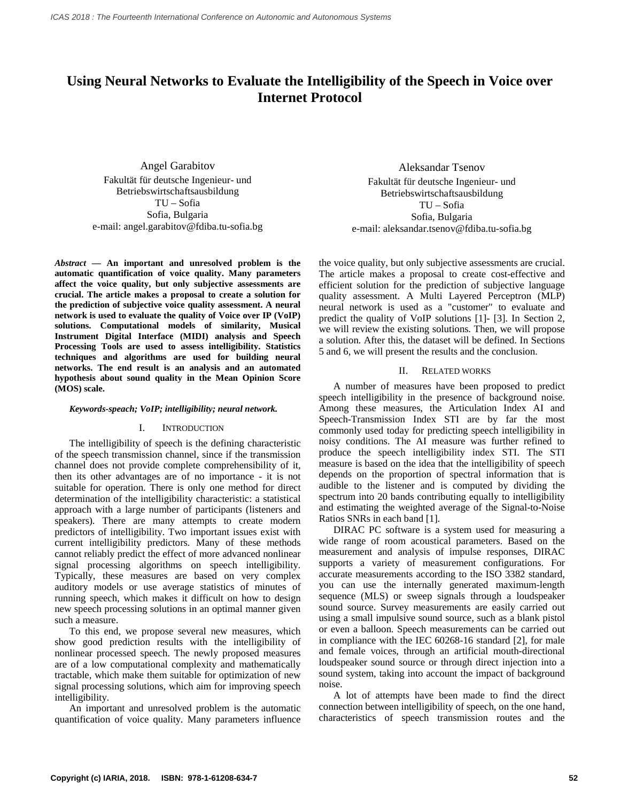# **Using Neural Networks to Evaluate the Intelligibility of the Speech in Voice over Internet Protocol**

Angel Garabitov Fakultät für deutsche Ingenieur- und Betriebswirtschaftsausbildung TU – Sofia Sofia, Bulgaria e-mail: angel.garabitov@fdiba.tu-sofia.bg

*Abstract* **— An important and unresolved problem is the automatic quantification of voice quality. Many parameters affect the voice quality, but only subjective assessments are crucial. The article makes a proposal to create a solution for the prediction of subjective voice quality assessment. A neural network is used to evaluate the quality of Voice over IP (VoIP) solutions. Computational models of similarity, Musical Instrument Digital Interface (MIDI) analysis and Speech Processing Tools are used to assess intelligibility. Statistics techniques and algorithms are used for building neural networks. The end result is an analysis and an automated hypothesis about sound quality in the Mean Opinion Score (MOS) scale.** 

#### *Keywords-speach; VoIP; intelligibility; neural network.*

#### I. INTRODUCTION

The intelligibility of speech is the defining characteristic of the speech transmission channel, since if the transmission channel does not provide complete comprehensibility of it, then its other advantages are of no importance - it is not suitable for operation. There is only one method for direct determination of the intelligibility characteristic: a statistical approach with a large number of participants (listeners and speakers). There are many attempts to create modern predictors of intelligibility. Two important issues exist with current intelligibility predictors. Many of these methods cannot reliably predict the effect of more advanced nonlinear signal processing algorithms on speech intelligibility. Typically, these measures are based on very complex auditory models or use average statistics of minutes of running speech, which makes it difficult on how to design new speech processing solutions in an optimal manner given such a measure.

To this end, we propose several new measures, which show good prediction results with the intelligibility of nonlinear processed speech. The newly proposed measures are of a low computational complexity and mathematically tractable, which make them suitable for optimization of new signal processing solutions, which aim for improving speech intelligibility.

An important and unresolved problem is the automatic quantification of voice quality. Many parameters influence

Aleksandar Tsenov Fakultät für deutsche Ingenieur- und Betriebswirtschaftsausbildung TU – Sofia Sofia, Bulgaria e-mail: aleksandar.tsenov@fdiba.tu-sofia.bg

the voice quality, but only subjective assessments are crucial. The article makes a proposal to create cost-effective and efficient solution for the prediction of subjective language quality assessment. A Multi Layered Perceptron (MLP) neural network is used as a "customer" to evaluate and predict the quality of VoIP solutions [1]- [3]. In Section 2, we will review the existing solutions. Then, we will propose a solution. After this, the dataset will be defined. In Sections 5 and 6, we will present the results and the conclusion.

#### II. RELATED WORKS

A number of measures have been proposed to predict speech intelligibility in the presence of background noise. Among these measures, the Articulation Index AI and Speech-Transmission Index STI are by far the most commonly used today for predicting speech intelligibility in noisy conditions. The AI measure was further refined to produce the speech intelligibility index STI. The STI measure is based on the idea that the intelligibility of speech depends on the proportion of spectral information that is audible to the listener and is computed by dividing the spectrum into 20 bands contributing equally to intelligibility and estimating the weighted average of the Signal-to-Noise Ratios SNRs in each band [1].

DIRAC PC software is a system used for measuring a wide range of room acoustical parameters. Based on the measurement and analysis of impulse responses, DIRAC supports a variety of measurement configurations. For accurate measurements according to the ISO 3382 standard, you can use the internally generated maximum-length sequence (MLS) or sweep signals through a loudspeaker sound source. Survey measurements are easily carried out using a small impulsive sound source, such as a blank pistol or even a balloon. Speech measurements can be carried out in compliance with the IEC 60268-16 standard [2], for male and female voices, through an artificial mouth-directional loudspeaker sound source or through direct injection into a sound system, taking into account the impact of background noise.

A lot of attempts have been made to find the direct connection between intelligibility of speech, on the one hand, characteristics of speech transmission routes and the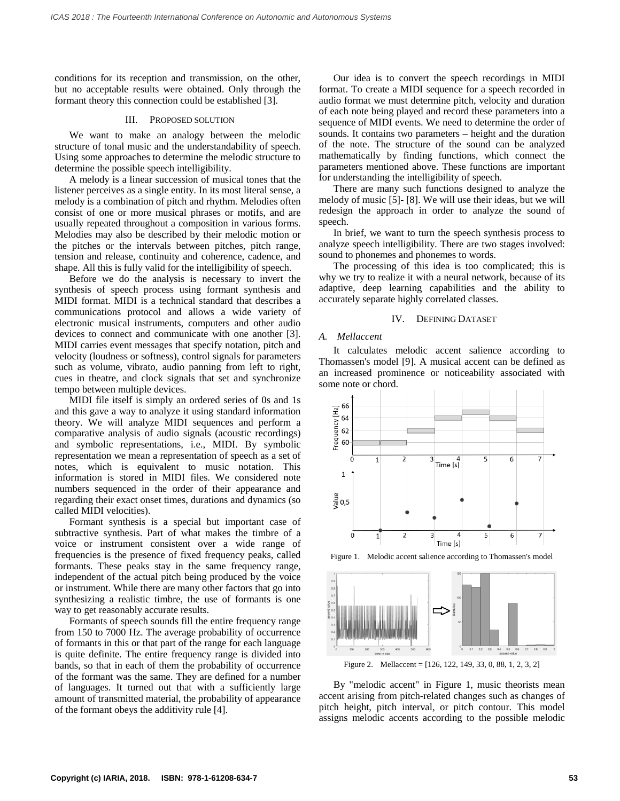conditions for its reception and transmission, on the other, but no acceptable results were obtained. Only through the formant theory this connection could be established [3].

#### III. PROPOSED SOLUTION

We want to make an analogy between the melodic structure of tonal music and the understandability of speech. Using some approaches to determine the melodic structure to determine the possible speech intelligibility.

A melody is a linear succession of musical tones that the listener perceives as a single entity. In its most literal sense, a melody is a combination of pitch and rhythm. Melodies often consist of one or more musical phrases or motifs, and are usually repeated throughout a composition in various forms. Melodies may also be described by their melodic motion or the pitches or the intervals between pitches, pitch range, tension and release, continuity and coherence, cadence, and shape. All this is fully valid for the intelligibility of speech.

Before we do the analysis is necessary to invert the synthesis of speech process using formant synthesis and MIDI format. MIDI is a technical standard that describes a communications protocol and allows a wide variety of electronic musical instruments, computers and other audio devices to connect and communicate with one another [3]. MIDI carries event messages that specify notation, pitch and velocity (loudness or softness), control signals for parameters such as volume, vibrato, audio panning from left to right, cues in theatre, and clock signals that set and synchronize tempo between multiple devices.

MIDI file itself is simply an ordered series of 0s and 1s and this gave a way to analyze it using standard information theory. We will analyze MIDI sequences and perform a comparative analysis of audio signals (acoustic recordings) and symbolic representations, i.e., MIDI. By symbolic representation we mean a representation of speech as a set of notes, which is equivalent to music notation. This information is stored in MIDI files. We considered note numbers sequenced in the order of their appearance and regarding their exact onset times, durations and dynamics (so called MIDI velocities).

Formant synthesis is a special but important case of subtractive synthesis. Part of what makes the timbre of a voice or instrument consistent over a wide range of frequencies is the presence of fixed frequency peaks, called formants. These peaks stay in the same frequency range, independent of the actual pitch being produced by the voice or instrument. While there are many other factors that go into synthesizing a realistic timbre, the use of formants is one way to get reasonably accurate results.

Formants of speech sounds fill the entire frequency range from 150 to 7000 Hz. The average probability of occurrence of formants in this or that part of the range for each language is quite definite. The entire frequency range is divided into bands, so that in each of them the probability of occurrence of the formant was the same. They are defined for a number of languages. It turned out that with a sufficiently large amount of transmitted material, the probability of appearance of the formant obeys the additivity rule [4].

Our idea is to convert the speech recordings in MIDI format. To create a MIDI sequence for a speech recorded in audio format we must determine pitch, velocity and duration of each note being played and record these parameters into a sequence of MIDI events. We need to determine the order of sounds. It contains two parameters – height and the duration of the note. The structure of the sound can be analyzed mathematically by finding functions, which connect the parameters mentioned above. These functions are important for understanding the intelligibility of speech.

There are many such functions designed to analyze the melody of music [5]- [8]. We will use their ideas, but we will redesign the approach in order to analyze the sound of speech.

In brief, we want to turn the speech synthesis process to analyze speech intelligibility. There are two stages involved: sound to phonemes and phonemes to words.

The processing of this idea is too complicated; this is why we try to realize it with a neural network, because of its adaptive, deep learning capabilities and the ability to accurately separate highly correlated classes.

#### IV. DEFINING DATASET

#### *A. Mellaccent*

It calculates melodic accent salience according to Thomassen's model [9]. A musical accent can be defined as an increased prominence or noticeability associated with some note or chord.



Figure 1. Melodic accent salience according to Thomassen's model



Figure 2. Mellaccent = [126, 122, 149, 33, 0, 88, 1, 2, 3, 2]

By "melodic accent" in Figure 1, music theorists mean accent arising from pitch-related changes such as changes of pitch height, pitch interval, or pitch contour. This model assigns melodic accents according to the possible melodic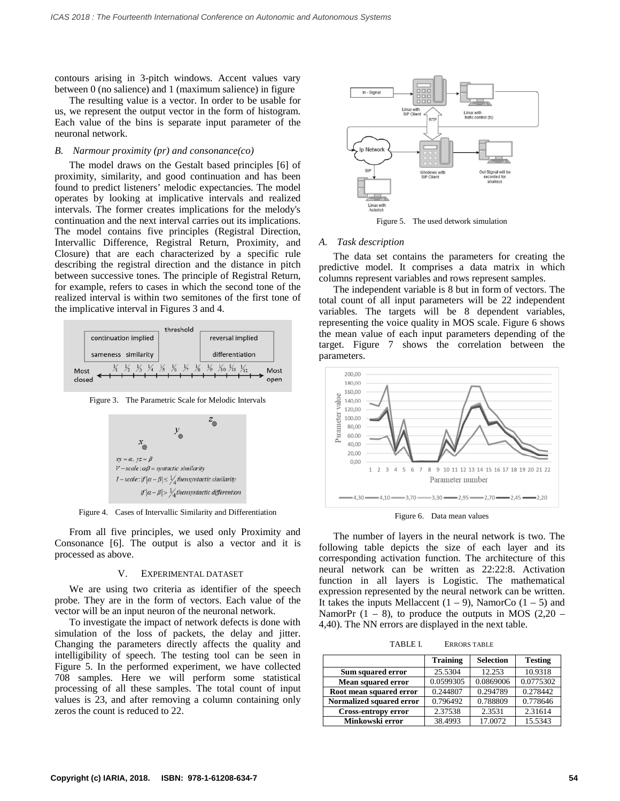contours arising in 3-pitch windows. Accent values vary between 0 (no salience) and 1 (maximum salience) in figure

The resulting value is a vector. In order to be usable for us, we represent the output vector in the form of histogram. Each value of the bins is separate input parameter of the neuronal network.

#### *B. Narmour proximity (pr) and consonance(co)*

The model draws on the Gestalt based principles [6] of proximity, similarity, and good continuation and has been found to predict listeners' melodic expectancies. The model operates by looking at implicative intervals and realized intervals. The former creates implications for the melody's continuation and the next interval carries out its implications. The model contains five principles (Registral Direction, Intervallic Difference, Registral Return, Proximity, and Closure) that are each characterized by a specific rule describing the registral direction and the distance in pitch between successive tones. The principle of Registral Return, for example, refers to cases in which the second tone of the realized interval is within two semitones of the first tone of the implicative interval in Figures 3 and 4.



Figure 3. The Parametric Scale for Melodic Intervals



Figure 4. Cases of Intervallic Similarity and Differentiation

From all five principles, we used only Proximity and Consonance [6]. The output is also a vector and it is processed as above.

#### V. EXPERIMENTAL DATASET

We are using two criteria as identifier of the speech probe. They are in the form of vectors. Each value of the vector will be an input neuron of the neuronal network.

To investigate the impact of network defects is done with simulation of the loss of packets, the delay and jitter. Changing the parameters directly affects the quality and intelligibility of speech. The testing tool can be seen in Figure 5. In the performed experiment, we have collected 708 samples. Here we will perform some statistical processing of all these samples. The total count of input values is 23, and after removing a column containing only zeros the count is reduced to 22.



Figure 5. The used detwork simulation

#### *A. Task description*

The data set contains the parameters for creating the predictive model. It comprises a data matrix in which columns represent variables and rows represent samples.

The independent variable is 8 but in form of vectors. The total count of all input parameters will be 22 independent variables. The targets will be 8 dependent variables, representing the voice quality in MOS scale. Figure 6 shows the mean value of each input parameters depending of the target. Figure 7 shows the correlation between the parameters.



Figure 6. Data mean values

The number of layers in the neural network is two. The following table depicts the size of each layer and its corresponding activation function. The architecture of this neural network can be written as 22:22:8. Activation function in all layers is Logistic. The mathematical expression represented by the neural network can be written. It takes the inputs Mellaccent  $(1 – 9)$ , NamorCo  $(1 – 5)$  and NamorPr  $(1 - 8)$ , to produce the outputs in MOS  $(2.20 -$ 4,40). The NN errors are displayed in the next table.

TABLE I. ERRORS TABLE

|                            | <b>Training</b> | <b>Selection</b> | <b>Testing</b> |
|----------------------------|-----------------|------------------|----------------|
| Sum squared error          | 25.5304         | 12.253           | 10.9318        |
| Mean squared error         | 0.0599305       | 0.0869006        | 0.0775302      |
| Root mean squared error    | 0.244807        | 0.294789         | 0.278442       |
| Normalized squared error   | 0.796492        | 0.788809         | 0.778646       |
| <b>Cross-entropy error</b> | 2.37538         | 2.3531           | 2.31614        |
| Minkowski error            | 38.4993         | 17.0072          | 15.5343        |